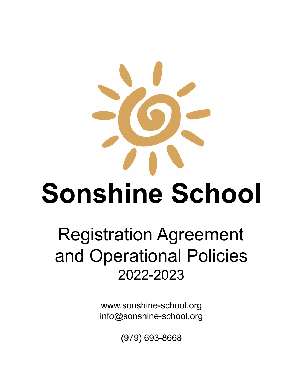

# Registration Agreement and Operational Policies 2022-2023

www.sonshine-school.org info@sonshine-school.org

(979) 693-8668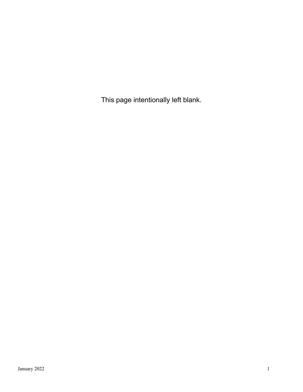This page intentionally left blank.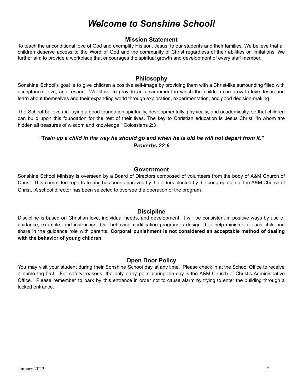# *Welcome to Sonshine School!*

#### **Mission Statement**

To teach the unconditional love of God and exemplify His son, Jesus, to our students and their families. We believe that all children deserve access to the Word of God and the community of Christ regardless of their abilities or limitations. We further aim to provide a workplace that encourages the spiritual growth and development of every staff member.

#### **Philosophy**

Sonshine School's goal is to give children a positive self-image by providing them with a Christ-like surrounding filled with acceptance, love, and respect. We strive to provide an environment in which the children can grow to love Jesus and learn about themselves and their expanding world through exploration, experimentation, and good decision-making.

The School believes in laying a good foundation spiritually, developmentally, physically, and academically, so that children can build upon this foundation for the rest of their lives. The key to Christian education is Jesus Christ, "in whom are hidden all treasures of wisdom and knowledge." Colossians 2:3

## "Train up a child in the way he should go and when he is old he will not depart from it." *Proverbs 22:6*

#### **Government**

Sonshine School Ministry is overseen by a Board of Directors composed of volunteers from the body of A&M Church of Christ. This committee reports to and has been approved by the elders elected by the congregation at the A&M Church of Christ. A school director has been selected to oversee the operation of the program.

#### **Discipline**

Discipline is based on Christian love, individual needs, and development. It will be consistent in positive ways by use of guidance, example, and instruction. Our behavior modification program is designed to help minister to each child and share in the guidance role with parents. **Corporal punishment is not considered an acceptable method of dealing with the behavior of young children.**

#### **Open Door Policy**

You may visit your student during their Sonshine School day at any time. Please check in at the School Office to receive a name tag first. For safety reasons, the only entry point during the day is the A&M Church of Christ's Administrative Office. Please remember to park by this entrance in order not to cause alarm by trying to enter the building through a locked entrance.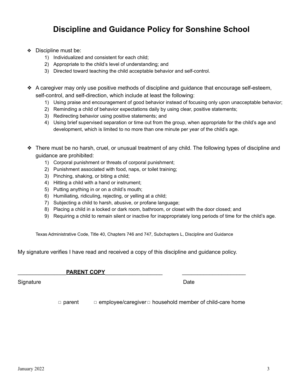# **Discipline and Guidance Policy for Sonshine School**

- ❖ Discipline must be:
	- 1) Individualized and consistent for each child;
	- 2) Appropriate to the child's level of understanding; and
	- 3) Directed toward teaching the child acceptable behavior and self-control.

❖ A caregiver may only use positive methods of discipline and guidance that encourage self-esteem, self-control, and self-direction, which include at least the following:

- 1) Using praise and encouragement of good behavior instead of focusing only upon unacceptable behavior;
- 2) Reminding a child of behavior expectations daily by using clear, positive statements;
- 3) Redirecting behavior using positive statements; and
- 4) Using brief supervised separation or time out from the group, when appropriate for the child's age and development, which is limited to no more than one minute per year of the child's age.
- ❖ There must be no harsh, cruel, or unusual treatment of any child. The following types of discipline and guidance are prohibited:
	- 1) Corporal punishment or threats of corporal punishment;
	- 2) Punishment associated with food, naps, or toilet training;
	- 3) Pinching, shaking, or biting a child;
	- 4) Hitting a child with a hand or instrument;
	- 5) Putting anything in or on a child's mouth;
	- 6) Humiliating, ridiculing, rejecting, or yelling at a child;
	- 7) Subjecting a child to harsh, abusive, or profane language;
	- 8) Placing a child in a locked or dark room, bathroom, or closet with the door closed; and
	- 9) Requiring a child to remain silent or inactive for inappropriately long periods of time for the child's age.

Texas Administrative Code, Title 40, Chapters 746 and 747, Subchapters L, Discipline and Guidance

My signature verifies I have read and received a copy of this discipline and guidance policy.

PARENT COPY

Signature Date

**□ parent** □ employee/caregiver□ household member of child-care home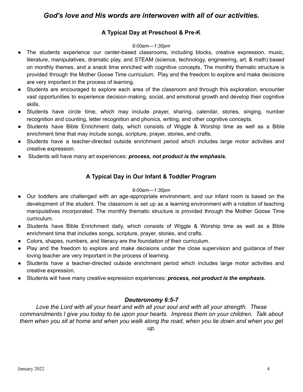## *God's love and His words are interwoven with all of our activities.*

## **A Typical Day at Preschool & Pre-K**

#### *9:00am—1:30pm*

- The students experience our center-based classrooms, including blocks, creative expression, music, literature, manipulatives, dramatic play, and STEAM (science, technology, engineering, art, & math) based on monthly themes, and a snack time enriched with cognitive concepts. The monthly thematic structure is provided through the Mother Goose Time curriculum. Play and the freedom to explore and make decisions are very important in the process of learning.
- Students are encouraged to explore each area of the classroom and through this exploration, encounter vast opportunities to experience decision-making, social, and emotional growth and develop their cognitive skills.
- Students have circle time, which may include prayer, sharing, calendar, stories, singing, number recognition and counting, letter recognition and phonics, writing, and other cognitive concepts.
- Students have Bible Enrichment daily, which consists of Wiggle & Worship time as well as a Bible enrichment time that may include songs, scripture, prayer, stories, and crafts.
- Students have a teacher-directed outside enrichment period which includes large motor activities and creative expression.
- Students will have many art experiences: *process, not product is the emphasis.*

## **A Typical Day in Our Infant & Toddler Program**

#### *9:00am—1:30pm*

- Our toddlers are challenged with an age-appropriate environment, and our infant room is based on the development of the student. The classroom is set up as a learning environment with a rotation of teaching manipulatives incorporated. The monthly thematic structure is provided through the Mother Goose Time curriculum.
- Students have Bible Enrichment daily, which consists of Wiggle & Worship time as well as a Bible enrichment time that includes songs, scripture, prayer, stories, and crafts.
- Colors, shapes, numbers, and literacy are the foundation of their curriculum.
- Play and the freedom to explore and make decisions under the close supervision and quidance of their loving teacher are very important in the process of learning.
- Students have a teacher-directed outside enrichment period which includes large motor activities and creative expression.
- Students will have many creative expression experiences: *process, not product is the emphasis.*

## *Deuteronomy 6:5-7*

*Love the Lord with all your heart and with all your soul and with all your strength. These commandments I give you today to be upon your hearts. Impress them on your children. Talk about them when you sit at home and when you walk along the road, when you lie down and when you get up.*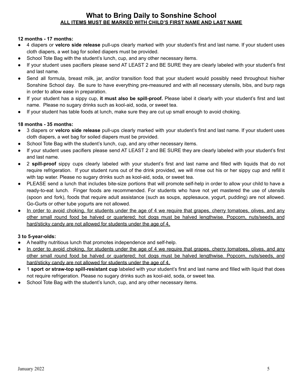## **What to Bring Daily to Sonshine School ALL ITEMS MUST BE MARKED WITH CHILD'S FIRST NAME AND LAST NAME**

#### **12 months - 17 months:**

- 4 diapers or **velcro side release** pull-ups clearly marked with your student's first and last name. If your student uses cloth diapers, a wet bag for soiled diapers must be provided.
- School Tote Bag with the student's lunch, cup, and any other necessary items.
- If your student uses pacifiers please send AT LEAST 2 and BE SURE they are clearly labeled with your student's first and last name.
- Send all formula, breast milk, jar, and/or transition food that your student would possibly need throughout his/her Sonshine School day. Be sure to have everything pre-measured and with all necessary utensils, bibs, and burp rags in order to allow ease in preparation.
- If your student has a sippy cup, **it must also be spill-proof.** Please label it clearly with your student's first and last name. Please no sugary drinks such as kool-aid, soda, or sweet tea.
- If your student has table foods at lunch, make sure they are cut up small enough to avoid choking.

#### **18 months - 35 months:**

- 3 diapers or **velcro side release** pull-ups clearly marked with your student's first and last name. If your student uses cloth diapers, a wet bag for soiled diapers must be provided.
- School Tote Bag with the student's lunch, cup, and any other necessary items.
- If your student uses pacifiers please send AT LEAST 2 and BE SURE they are clearly labeled with your student's first and last name.
- 2 **spill-proof** sippy cups clearly labeled with your student's first and last name and filled with liquids that do not require refrigeration. If your student runs out of the drink provided, we will rinse out his or her sippy cup and refill it with tap water. Please no sugary drinks such as kool-aid, soda, or sweet tea.
- PLEASE send a lunch that includes bite-size portions that will promote self-help in order to allow your child to have a ready-to-eat lunch. Finger foods are recommended. For students who have not yet mastered the use of utensils (spoon and fork), foods that require adult assistance (such as soups, applesauce, yogurt, pudding) are not allowed. Go-Gurts or other tube yogurts are not allowed.
- In order to avoid choking, for students under the age of 4 we require that grapes, cherry tomatoes, olives, and any other small round food be halved or quartered; hot dogs must be halved lengthwise. Popcorn, nuts/seeds, and hard/sticky candy are not allowed for students under the age of 4.

#### **3 to 5-year-olds:**

- A healthy nutritious lunch that promotes independence and self-help.
- In order to avoid choking, for students under the age of 4 we require that grapes, cherry tomatoes, olives, and any other small round food be halved or quartered; hot dogs must be halved lengthwise. Popcorn, nuts/seeds, and hard/sticky candy are not allowed for students under the age of 4.
- 1 **sport or straw-top spill-resistant cup** labeled with your student's first and last name and filled with liquid that does not require refrigeration. Please no sugary drinks such as kool-aid, soda, or sweet tea.
- School Tote Bag with the student's lunch, cup, and any other necessary items.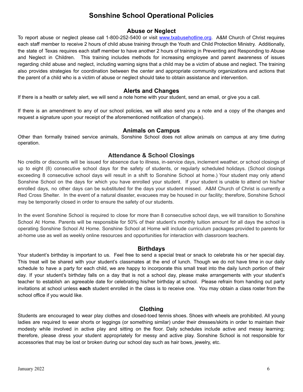# **Sonshine School Operational Policies**

#### **Abuse or Neglect**

To report abuse or neglect please call 1-800-252-5400 or visit [www.txabusehotline.org](http://www.txabusehotline.org). A&M Church of Christ requires each staff member to receive 2 hours of child abuse training through the Youth and Child Protection Ministry. Additionally, the state of Texas requires each staff member to have another 2 hours of training in Preventing and Responding to Abuse and Neglect in Children. This training includes methods for increasing employee and parent awareness of issues regarding child abuse and neglect, including warning signs that a child may be a victim of abuse and neglect. The training also provides strategies for coordination between the center and appropriate community organizations and actions that the parent of a child who is a victim of abuse or neglect should take to obtain assistance and intervention.

#### **Alerts and Changes**

If there is a health or safety alert, we will send a note home with your student, send an email, or give you a call.

If there is an amendment to any of our school policies, we will also send you a note and a copy of the changes and request a signature upon your receipt of the aforementioned notification of change(s).

#### **Animals on Campus**

Other than formally trained service animals, Sonshine School does not allow animals on campus at any time during operation.

#### **Attendance & School Closings**

No credits or discounts will be issued for absence due to illness, in-service days, inclement weather, or school closings of up to eight (8) consecutive school days for the safety of students, or regularly scheduled holidays. (School closings exceeding 8 consecutive school days will result in a shift to Sonshine School at home.) Your student may only attend Sonshine School on the days for which you have enrolled your student. If your student is unable to attend on his/her enrolled days, no other days can be substituted for the days your student missed. A&M Church of Christ is currently a Red Cross Shelter. In the event of a natural disaster, evacuees may be housed in our facility; therefore, Sonshine School may be temporarily closed in order to ensure the safety of our students.

In the event Sonshine School is required to close for more than 8 consecutive school days, we will transition to Sonshine School At Home. Parents will be responsible for 50% of their student's monthly tuition amount for all days the school is operating Sonshine School At Home. Sonshine School at Home will include curriculum packages provided to parents for at-home use as well as weekly online resources and opportunities for interaction with classroom teachers.

#### **Birthdays**

Your student's birthday is important to us. Feel free to send a special treat or snack to celebrate his or her special day. This treat will be shared with your student's classmates at the end of lunch. Though we do not have time in our daily schedule to have a party for each child, we are happy to incorporate this small treat into the daily lunch portion of their day. If your student's birthday falls on a day that is not a school day, please make arrangements with your student's teacher to establish an agreeable date for celebrating his/her birthday at school. Please refrain from handing out party invitations at school unless **each** student enrolled in the class is to receive one. You may obtain a class roster from the school office if you would like.

#### **Clothing**

Students are encouraged to wear play clothes and closed-toed tennis shoes. Shoes with wheels are prohibited. All young ladies are required to wear shorts or leggings (or something similar) under their dresses/skirts in order to maintain their modesty while involved in active play and sitting on the floor. Daily schedules include active and messy learning; therefore, please dress your student appropriately for messy and active play. Sonshine School is not responsible for accessories that may be lost or broken during our school day such as hair bows, jewelry, etc.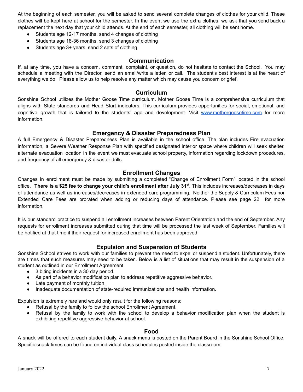At the beginning of each semester, you will be asked to send several complete changes of clothes for your child. These clothes will be kept here at school for the semester. In the event we use the extra clothes, we ask that you send back a replacement the next day that your child attends. At the end of each semester, all clothing will be sent home.

- Students age 12-17 months, send 4 changes of clothing
- Students age 18-36 months, send 3 changes of clothing
- Students age 3+ years, send 2 sets of clothing

#### **Communication**

If, at any time, you have a concern, comment, complaint, or question, do not hesitate to contact the School. You may schedule a meeting with the Director, send an email/write a letter, or call. The student's best interest is at the heart of everything we do. Please allow us to help resolve any matter which may cause you concern or grief.

#### **Curriculum**

Sonshine School utilizes the Mother Goose Time curriculum. Mother Goose Time is a comprehensive curriculum that aligns with State standards and Head Start indicators. This curriculum provides opportunities for social, emotional, and cognitive growth that is tailored to the students' age and development. Visit [www.mothergoosetime.com](http://www.mothergoosetime.com) for more information.

#### **Emergency & Disaster Preparedness Plan**

A full Emergency & Disaster Preparedness Plan is available in the school office. The plan includes Fire evacuation information, a Severe Weather Response Plan with specified designated interior space where children will seek shelter, alternate evacuation location in the event we must evacuate school property, information regarding lockdown procedures, and frequency of all emergency & disaster drills.

#### **Enrollment Changes**

Changes in enrollment must be made by submitting a completed "Change of Enrollment Form" located in the school office. There is a \$25 fee to change your child's enrollment after July 31<sup>st</sup>. This includes increases/decreases in days of attendance as well as increases/decreases in extended care programming. Neither the Supply & Curriculum Fees nor Extended Care Fees are prorated when adding or reducing days of attendance. Please see page 22 for more information.

It is our standard practice to suspend all enrollment increases between Parent Orientation and the end of September. Any requests for enrollment increases submitted during that time will be processed the last week of September. Families will be notified at that time if their request for increased enrollment has been approved.

#### **Expulsion and Suspension of Students**

Sonshine School strives to work with our families to prevent the need to expel or suspend a student. Unfortunately, there are times that such measures may need to be taken. Below is a list of situations that may result in the suspension of a student as outlined in our Enrollment Agreement:

- 3 biting incidents in a 30 day period.
- As part of a behavior modification plan to address repetitive aggressive behavior.
- Late payment of monthly tuition.
- Inadequate documentation of state-required immunizations and health information.

Expulsion is extremely rare and would only result for the following reasons:

- Refusal by the family to follow the school Enrollment Agreement.
- Refusal by the family to work with the school to develop a behavior modification plan when the student is exhibiting repetitive aggressive behavior at school.

#### **Food**

A snack will be offered to each student daily. A snack menu is posted on the Parent Board in the Sonshine School Office. Specific snack times can be found on individual class schedules posted inside the classroom.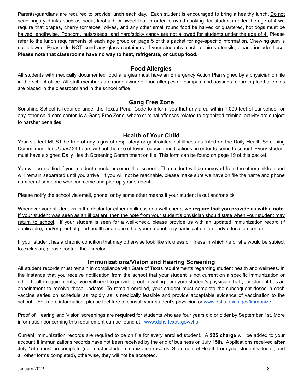Parents/guardians are required to provide lunch each day. Each student is encouraged to bring a healthy lunch. Do not send sugary drinks such as soda, kool-aid, or sweet tea. In order to avoid choking, for students under the age of 4 we require that grapes, cherry tomatoes, olives, and any other small round food be halved or quartered, hot dogs must be halved lengthwise. Popcorn, nuts/seeds, and hard/sticky candy are not allowed for students under the age of 4. Please refer to the lunch requirements of each age group on page 5 of this packet for age-specific information. Chewing gum is not allowed. Please do NOT send any glass containers. If your student's lunch requires utensils, please include these. **Please note that classrooms have no way to heat, refrigerate, or cut up food.**

#### **Food Allergies**

All students with medically documented food allergies must have an Emergency Action Plan signed by a physician on file in the school office. All staff members are made aware of food allergies on campus, and postings regarding food allergies are placed in the classroom and in the school office.

#### **Gang Free Zone**

Sonshine School is required under the Texas Penal Code to inform you that any area within 1,000 feet of our school, or any other child-care center, is a Gang Free Zone, where criminal offenses related to organized criminal activity are subject to harsher penalties.

#### **Health of Your Child**

Your student MUST be free of any signs of respiratory or gastrointestinal illness as listed on the Daily Health Screening Commitment for *at least* 24 hours without the use of fever-reducing medications, in order to come to school. Every student must have a signed Daily Health Screening Commitment on file. This form can be found on page 19 of this packet.

You will be notified if your student should become ill at school. The student will be removed from the other children and will remain separated until you arrive. If you will not be reachable, please make sure we have on file the name and phone number of someone who can come and pick up your student.

Please notify the school via email, phone, or by some other means if your student is out and/or sick.

Whenever your student visits the doctor for either an illness or a well-check, **we require that you provide us with a note.** If your student was seen as an ill patient, then the note from your student's physician should state when your student may return to school. If your student is seen for a well-check, please provide us with an updated immunization record (if applicable), and/or proof of good health and notice that your student may participate in an early education center.

If your student has a chronic condition that may otherwise look like sickness or illness in which he or she would be subject to exclusion, please contact the Director.

#### **Immunizations/Vision and Hearing Screening**

All student records must remain in compliance with State of Texas requirements regarding student health and wellness. In the instance that you receive notification from the school that your student is not current on a specific immunization or other health requirements, you will need to provide proof in writing from your student's physician that your student has an appointment to receive those updates. To remain enrolled, your student must complete the subsequent doses in each vaccine series on schedule as rapidly as is medically feasible and provide acceptable evidence of vaccination to the school. For more information, please feel free to consult your student's physician or [www.dshs.texas.gov/immunize](http://www.dshs.texas.gov/immunize)

Proof of Hearing and Vision screenings are **required** for students who are four years old or older by September 1st. More information concerning this requirement can be found at: [www.dshs.texas.gov/vhs](http://www.dshs.texas.gov/vhs)

Current immunization records are required to be on file for every enrolled student. A **\$25 charge** will be added to your account if immunizations records have not been received by the end of business on July 15th. Applications received **after** July 15th must be complete (i.e. must include immunization records, Statement of Health from your student's doctor, and all other forms completed), otherwise, they will not be accepted.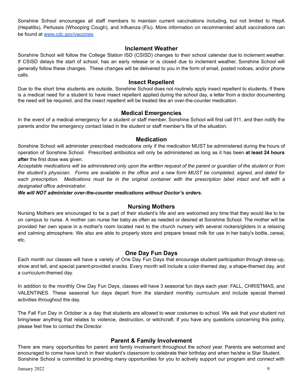Sonshine School encourages all staff members to maintain current vaccinations including, but not limited to HepA (Hepatitis), Pertussis (Whooping Cough), and Influenza (Flu). More information on recommended adult vaccinations can be found at [www.cdc.gov/vaccines](http://www.cdc.gov/vaccines)

#### **Inclement Weather**

Sonshine School will follow the College Station ISD (CSISD) changes to their school calendar due to inclement weather. If CSISD delays the start of school, has an early release or is closed due to inclement weather, Sonshine School will generally follow these changes. These changes will be delivered to you in the form of email, posted notices, and/or phone calls.

#### **Insect Repellent**

Due to the short time students are outside, Sonshine School does not routinely apply insect repellent to students. If there is a medical need for a student to have insect repellent applied during the school day, a letter from a doctor documenting the need will be required, and the insect repellent will be treated like an over-the-counter medication.

#### **Medical Emergencies**

In the event of a medical emergency for a student or staff member, Sonshine School will first call 911, and then notify the parents and/or the emergency contact listed in the student or staff member's file of the situation.

#### **Medication**

Sonshine School will administer prescribed medications only if the medication MUST be administered during the hours of operation of Sonshine School. Prescribed antibiotics will only be administered as long as it has been **at least 24 hours after** the first dose was given.

Acceptable medications will be administered only upon the written request of the parent or guardian of the student or from the student's physician. Forms are available in the office and a new form MUST be completed, signed, and dated for each prescription. Medications must be in the original container with the prescription label intact and left with a *designated office administrator.*

*We will NOT administer over-the-counter medications without Doctor's orders.*

#### **Nursing Mothers**

Nursing Mothers are encouraged to be a part of their student's life and are welcomed any time that they would like to be on campus to nurse. A mother can nurse her baby as often as needed or desired at Sonshine School. The mother will be provided her own space in a mother's room located next to the church nursery with several rockers/gliders in a relaxing and calming atmosphere. We also are able to properly store and prepare breast milk for use in her baby's bottle, cereal, etc.

#### **One Day Fun Days**

Each month our classes will have a variety of One Day Fun Days that encourage student participation through dress-up, show and tell, and special parent-provided snacks. Every month will include a color-themed day, a shape-themed day, and a curriculum-themed day.

In addition to the monthly One Day Fun Days, classes will have 3 seasonal fun days each year: FALL, CHRISTMAS, and VALENTINES. These seasonal fun days depart from the standard monthly curriculum and include special themed activities throughout the day.

The Fall Fun Day in October is a day that students are allowed to wear costumes to school. We ask that your student not bring/wear anything that relates to violence, destruction, or witchcraft. If you have any questions concerning this policy, please feel free to contact the Director.

#### **Parent & Family Involvement**

There are many opportunities for parent and family involvement throughout the school year. Parents are welcomed and encouraged to come have lunch in their student's classroom to celebrate their birthday and when he/she is Star Student. Sonshine School is committed to providing many opportunities for you to actively support our program and connect with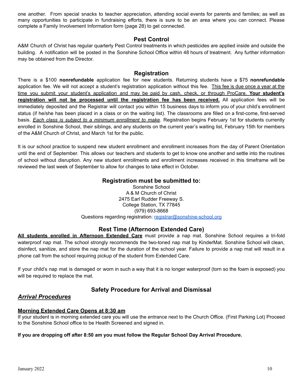one another. From special snacks to teacher appreciation, attending social events for parents and families; as well as many opportunities to participate in fundraising efforts, there is sure to be an area where you can connect. Please complete a Family Involvement Information form (page 28) to get connected.

#### **Pest Control**

A&M Church of Christ has regular quarterly Pest Control treatments in which pesticides are applied inside and outside the building. A notification will be posted in the Sonshine School Office within 48 hours of treatment. Any further information may be obtained from the Director.

#### **Registration**

There is a \$100 **nonrefundable** application fee for new students. Returning students have a \$75 **nonrefundable** application fee. We will not accept a student's registration application without this fee. This fee is due once a year at the time you submit your student's application and may be paid by cash, check, or through ProCare. **Your student's registration will not be processed until the registration fee has been received.** All application fees will be immediately deposited and the Registrar will contact you within 15 business days to inform you of your child's enrollment status (if he/she has been placed in a class or on the waiting list). The classrooms are filled on a first-come, first-served basis. *Each class is subject to a minimum enrollment to make*. Registration begins February 1st for students currently enrolled in Sonshine School, their siblings, and any students on the current year's waiting list, February 15th for members of the A&M Church of Christ, and March 1st for the public.

It is our school practice to suspend new student enrollment and enrollment increases from the day of Parent Orientation until the end of September. This allows our teachers and students to get to know one another and settle into the routines of school without disruption. Any new student enrollments and enrollment increases received in this timeframe will be reviewed the last week of September to allow for changes to take effect in October.

#### **Registration must be submitted to:**

Sonshine School A & M Church of Christ 2475 Earl Rudder Freeway S. College Station, TX 77845 (979) 693-8668 Questions regarding registration: [registrar@sonshine-school.org](mailto:registrar@sonshine-school.org)

#### **Rest Time (Afternoon Extended Care)**

**All students enrolled in Afternoon Extended Care** must provide a nap mat. Sonshine School requires a tri-fold waterproof nap mat. The school strongly recommends the two-toned nap mat by KinderMat. Sonshine School will clean, disinfect, sanitize, and store the nap mat for the duration of the school year. Failure to provide a nap mat will result in a phone call from the school requiring pickup of the student from Extended Care.

If your child's nap mat is damaged or worn in such a way that it is no longer waterproof (torn so the foam is exposed) you will be required to replace the mat.

## **Safety Procedure for Arrival and Dismissal**

#### *Arrival Procedures*

## **Morning Extended Care Opens at 8:30 am**

If your student is in morning extended care you will use the entrance next to the Church Office. (First Parking Lot) Proceed to the Sonshine School office to be Health Screened and signed in.

#### **If you are dropping off after 8:50 am you must follow the Regular School Day Arrival Procedure.**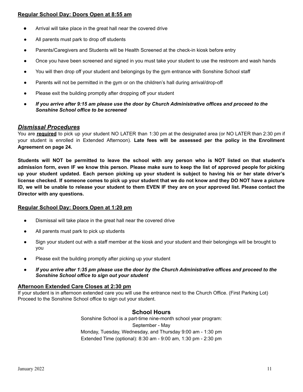#### **Regular School Day: Doors Open at 8:55 am**

- Arrival will take place in the great hall near the covered drive
- All parents must park to drop off students
- Parents/Caregivers and Students will be Health Screened at the check-in kiosk before entry
- Once you have been screened and signed in you must take your student to use the restroom and wash hands
- You will then drop off your student and belongings by the gym entrance with Sonshine School staff
- Parents will not be permitted in the gym or on the children's hall during arrival/drop-off
- Please exit the building promptly after dropping off your student
- If you arrive after 9:15 am please use the door by Church Administrative offices and proceed to the *Sonshine School office to be screened*

#### *Dismissal Procedures*

You are **required** to pick up your student NO LATER than 1:30 pm at the designated area (or NO LATER than 2:30 pm if your student is enrolled in Extended Afternoon). **Late fees will be assessed per the policy in the Enrollment Agreement on page 24.**

Students will NOT be permitted to leave the school with any person who is NOT listed on that student's admission form, even IF we know this person. Please make sure to keep the list of approved people for picking up your student updated. Each person picking up your student is subject to having his or her state driver's license checked. If someone comes to pick up your student that we do not know and they DO NOT have a picture ID, we will be unable to release your student to them EVEN IF they are on your approved list. Please contact the **Director with any questions.**

#### **Regular School Day: Doors Open at 1:20 pm**

- Dismissal will take place in the great hall near the covered drive
- All parents must park to pick up students
- Sign your student out with a staff member at the kiosk and your student and their belongings will be brought to you
- Please exit the building promptly after picking up your student
- If you arrive after 1:35 pm please use the door by the Church Administrative offices and proceed to the *Sonshine School office to sign out your student*

#### **Afternoon Extended Care Closes at 2:30 pm**

If your student is in afternoon extended care you will use the entrance next to the Church Office. (First Parking Lot) Proceed to the Sonshine School office to sign out your student.

#### **School Hours**

Sonshine School is a part-time nine-month school year program: September - May Monday, Tuesday, Wednesday, and Thursday 9:00 am - 1:30 pm Extended Time (optional): 8:30 am - 9:00 am, 1:30 pm - 2:30 pm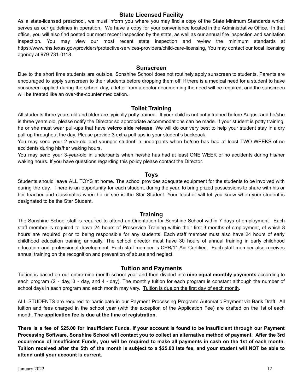#### **State Licensed Facility**

As a state-licensed preschool, we must inform you where you may find a copy of the State Minimum Standards which serves as our guidelines in operation. We have a copy for your convenience located in the Administrative Office. In that office, you will also find posted our most recent inspection by the state, as well as our annual fire inspection and sanitation inspection. You may view our most recent state inspection and review the minimum standards at https://www.hhs.texas.gov/providers/protective-services-providers/child-care-licensing. You may contact our local licensing agency at 979-731-0118.

#### **Sunscreen**

Due to the short time students are outside, Sonshine School does not routinely apply sunscreen to students. Parents are encouraged to apply sunscreen to their students before dropping them off. If there is a medical need for a student to have sunscreen applied during the school day, a letter from a doctor documenting the need will be required, and the sunscreen will be treated like an over-the-counter medication.

#### **Toilet Training**

All students three years old and older are typically potty trained. If your child is not potty trained before August and he/she is three years old, please notify the Director so appropriate accommodations can be made. If your student is potty training, he or she must wear pull-ups that have **velcro side release**. We will do our very best to help your student stay in a dry pull-up throughout the day. Please provide 3 extra pull-ups in your student's backpack.

You may send your 2-year-old and younger student in underpants when he/she has had at least TWO WEEKS of no accidents during his/her waking hours.

You may send your 3-year-old in underpants when he/she has had at least ONE WEEK of no accidents during his/her waking hours. If you have questions regarding this policy please contact the Director.

#### **Toys**

Students should leave ALL TOYS at home. The school provides adequate equipment for the students to be involved with during the day. There is an opportunity for each student, during the year, to bring prized possessions to share with his or her teacher and classmates when he or she is the Star Student. Your teacher will let you know when your student is designated to be the Star Student.

#### **Training**

The Sonshine School staff is required to attend an Orientation for Sonshine School within 7 days of employment. Each staff member is required to have 24 hours of Preservice Training within their first 3 months of employment, of which 8 hours are required prior to being responsible for any students. Each staff member must also have 24 hours of early childhood education training annually. The school director must have 30 hours of annual training in early childhood education and professional development. Each staff member is CPR/1<sup>st</sup> Aid Certified. Each staff member also receives annual training on the recognition and prevention of abuse and neglect.

#### **Tuition and Payments**

Tuition is based on our entire nine-month school year and then divided into **nine equal monthly payments** according to each program (2 - day, 3 - day, and 4 - day). The monthly tuition for each program is constant although the number of school days in each program and each month may vary. Tuition is due on the first day of each month.

ALL STUDENTS are required to participate in our Payment Processing Program: Automatic Payment via Bank Draft. All tuition and fees charged in the school year (with the exception of the Application Fee) are drafted on the 1st of each month. **The application fee is due at the time of registration.**

There is a fee of \$25.00 for Insufficient Funds. If your account is found to be insufficient through our Payment Processing Software, Sonshine School will contact you to collect an alternative method of payment. After the 3rd occurrence of Insufficient Funds, you will be required to make all payments in cash on the 1st of each month. Tuition received after the 5th of the month is subject to a \$25.00 late fee, and your student will NOT be able to **attend until your account is current.**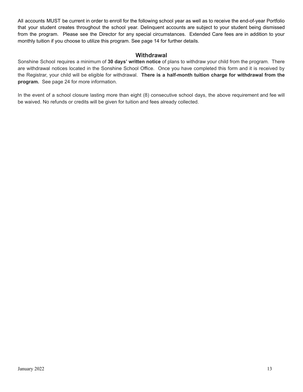All accounts MUST be current in order to enroll for the following school year as well as to receive the end-of-year Portfolio that your student creates throughout the school year. Delinquent accounts are subject to your student being dismissed from the program. Please see the Director for any special circumstances. Extended Care fees are in addition to your monthly tuition if you choose to utilize this program. See page 14 for further details.

#### **Withdrawal**

Sonshine School requires a minimum of **30 days' written notice** of plans to withdraw your child from the program. There are withdrawal notices located in the Sonshine School Office. Once you have completed this form and it is received by the Registrar, your child will be eligible for withdrawal. **There is a half-month tuition charge for withdrawal from the program.** See page 24 for more information.

In the event of a school closure lasting more than eight (8) consecutive school days, the above requirement and fee will be waived. No refunds or credits will be given for tuition and fees already collected.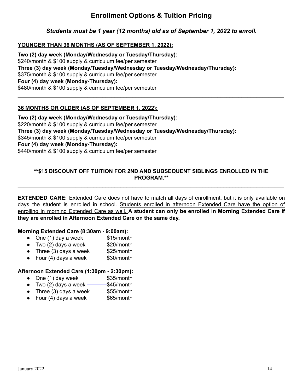# **Enrollment Options & Tuition Pricing**

*Students must be 1 year (12 months) old as of September 1, 2022 to enroll.*

## **YOUNGER THAN 36 MONTHS (AS OF SEPTEMBER 1, 2022):**

**Two (2) day week (Monday/Wednesday or Tuesday/Thursday):** \$240/month & \$100 supply & curriculum fee/per semester **Three (3) day week (Monday/Tuesday/Wednesday or Tuesday/Wednesday/Thursday):** \$375/month & \$100 supply & curriculum fee/per semester **Four (4) day week (Monday-Thursday):** \$480/month & \$100 supply & curriculum fee/per semester \_\_\_\_\_\_\_\_\_\_\_\_\_\_\_\_\_\_\_\_\_\_\_\_\_\_\_\_\_\_\_\_\_\_\_\_\_\_\_\_\_\_\_\_\_\_\_\_\_\_\_\_\_\_\_\_\_\_\_\_\_\_\_\_\_\_\_\_\_\_\_\_\_\_\_\_\_\_\_\_\_\_\_\_\_\_\_\_

## **36 MONTHS OR OLDER (AS OF SEPTEMBER 1, 2022):**

**Two (2) day week (Monday/Wednesday or Tuesday/Thursday):** \$220/month & \$100 supply & curriculum fee/per semester **Three (3) day week (Monday/Tuesday/Wednesday or Tuesday/Wednesday/Thursday):** \$345/month & \$100 supply & curriculum fee/per semester **Four (4) day week (Monday-Thursday):** \$440/month & \$100 supply & curriculum fee/per semester

## **\*\*\$15 DISCOUNT OFF TUITION FOR 2ND AND SUBSEQUENT SIBLINGS ENROLLED IN THE PROGRAM.\*\***

\_\_\_\_\_\_\_\_\_\_\_\_\_\_\_\_\_\_\_\_\_\_\_\_\_\_\_\_\_\_\_\_\_\_\_\_\_\_\_\_\_\_\_\_\_\_\_\_\_\_\_\_\_\_\_\_\_\_\_\_\_\_\_\_\_\_\_\_\_\_\_\_\_\_\_\_\_\_\_\_\_\_\_\_\_\_\_\_

**EXTENDED CARE:** Extended Care does not have to match all days of enrollment, but it is only available on days the student is enrolled in school. Students enrolled in afternoon Extended Care have the option of enrolling in morning Extended Care as well. **A student can only be enrolled in Morning Extended Care if they are enrolled in Afternoon Extended Care on the same day.**

#### **Morning Extended Care (8:30am - 9:00am):**

- One  $(1)$  day a week  $$15/m$ onth
- Two  $(2)$  days a week  $$20/m$ onth
- Three  $(3)$  days a week  $$25/m$ onth
- Four  $(4)$  days a week  $$30/m$ onth

#### **Afternoon Extended Care (1:30pm - 2:30pm):**

- One (1) day week \$35/month
- Two  $(2)$  days a week  $\longrightarrow$ \$45/month
- Three  $(3)$  days a week  $\frac{1}{100}$  = \$55/month
- Four  $(4)$  days a week  $$65/m$ onth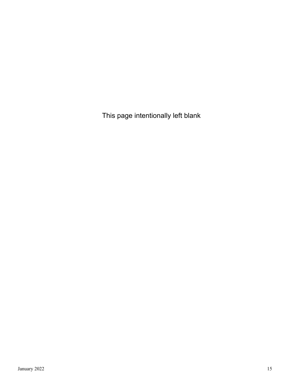This page intentionally left blank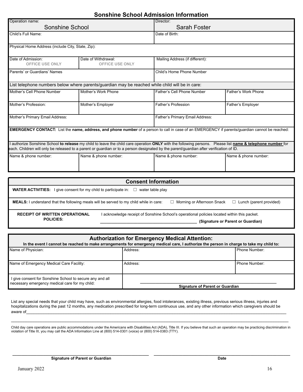## **Sonshine School Admission Information**

| Operation name:                                   |                                                                                                 | Director:                                                                                                                               |                                                                                                                                                            |  |  |
|---------------------------------------------------|-------------------------------------------------------------------------------------------------|-----------------------------------------------------------------------------------------------------------------------------------------|------------------------------------------------------------------------------------------------------------------------------------------------------------|--|--|
| Sonshine School                                   |                                                                                                 | Sarah Foster                                                                                                                            |                                                                                                                                                            |  |  |
| Child's Full Name:                                |                                                                                                 | Date of Birth:                                                                                                                          |                                                                                                                                                            |  |  |
|                                                   |                                                                                                 |                                                                                                                                         |                                                                                                                                                            |  |  |
| Physical Home Address (include City, State, Zip): |                                                                                                 |                                                                                                                                         |                                                                                                                                                            |  |  |
| Date of Admission:<br><b>OFFICE USE ONLY</b>      | Date of Withdrawal:<br><b>OFFICE USE ONLY</b>                                                   | Mailing Address (if different):                                                                                                         |                                                                                                                                                            |  |  |
|                                                   |                                                                                                 |                                                                                                                                         |                                                                                                                                                            |  |  |
| Parents' or Guardians' Names                      |                                                                                                 | Child's Home Phone Number                                                                                                               |                                                                                                                                                            |  |  |
|                                                   | List telephone numbers below where parents/guardian may be reached while child will be in care: |                                                                                                                                         |                                                                                                                                                            |  |  |
| Mother's Cell Phone Number                        | Mother's Work Phone                                                                             | Father's Cell Phone Number                                                                                                              | Father's Work Phone                                                                                                                                        |  |  |
| Mother's Profession:                              | Mother's Employer                                                                               | Father's Profession                                                                                                                     | Father's Employer                                                                                                                                          |  |  |
| Mother's Primary Email Address:                   |                                                                                                 | Father's Primary Email Address:                                                                                                         |                                                                                                                                                            |  |  |
|                                                   |                                                                                                 |                                                                                                                                         | EMERGENCY CONTACT: List the name, address, and phone number of a person to call in case of an EMERGENCY if parents/guardian cannot be reached:             |  |  |
|                                                   |                                                                                                 | each. Children will only be released to a parent or quardian or to a person designated by the parent/quardian after verification of ID. | I authorize Sonshine School to release my child to leave the child care operation ONLY with the following persons. Please list name & telephone number for |  |  |
| Name & phone number:                              | Name & phone number:                                                                            | Name & phone number:                                                                                                                    | Name & phone number:                                                                                                                                       |  |  |

| <b>Consent Information</b>                                                                                                                                           |                                                                                                                                  |  |  |
|----------------------------------------------------------------------------------------------------------------------------------------------------------------------|----------------------------------------------------------------------------------------------------------------------------------|--|--|
| <b>WATER ACTIVITIES:</b> I give consent for my child to participate in:<br>$\Box$ water table play                                                                   |                                                                                                                                  |  |  |
| <b>MEALS:</b> I understand that the following meals will be served to my child while in care:<br>$\Box$ Morning or Afternoon Snack<br>$\Box$ Lunch (parent provided) |                                                                                                                                  |  |  |
| <b>RECEIPT OF WRITTEN OPERATIONAL</b><br><b>POLICIES:</b>                                                                                                            | I acknowledge receipt of Sonshine School's operational policies located within this packet.<br>(Signature or Parent or Guardian) |  |  |

| <b>Authorization for Emergency Medical Attention:</b><br>In the event I cannot be reached to make arrangements for emergency medical care, I authorize the person in charge to take my child to: |          |               |  |  |
|--------------------------------------------------------------------------------------------------------------------------------------------------------------------------------------------------|----------|---------------|--|--|
| Name of Physician:<br>Phone Number:<br>Address:                                                                                                                                                  |          |               |  |  |
| Name of Emergency Medical Care Facility:                                                                                                                                                         | Address: | Phone Number: |  |  |
| I give consent for Sonshine School to secure any and all<br>necessary emergency medical care for my child:<br><b>Signature of Parent or Guardian</b>                                             |          |               |  |  |

List any special needs that your child may have, such as environmental allergies, food intolerances, existing illness, previous serious illness, injuries and hospitalizations during the past 12 months, any medication prescribed for long-term continuous use, and any other information which caregivers should be aware of\_\_\_\_\_\_\_\_\_\_\_\_\_\_\_\_\_\_\_\_\_\_\_\_\_\_\_\_\_\_\_\_\_\_\_\_\_\_\_\_\_\_\_\_\_\_\_\_\_\_\_\_\_\_\_\_\_\_\_\_\_\_\_\_\_\_\_\_\_\_\_\_\_\_\_\_\_\_\_\_\_\_\_\_\_\_\_\_\_\_\_\_\_\_\_\_\_\_\_\_\_\_\_\_\_

\_\_\_\_\_\_\_\_\_\_\_\_\_\_\_\_\_\_\_\_\_\_\_\_\_\_\_\_\_\_\_\_\_\_\_\_\_\_\_\_\_\_\_\_\_\_\_\_\_\_\_\_\_\_\_\_\_\_\_\_\_\_\_\_\_\_\_\_\_\_\_\_\_\_\_\_\_\_\_\_\_\_\_\_\_\_\_\_\_\_\_\_\_\_\_\_\_\_\_\_\_\_\_\_\_\_\_\_\_\_\_\_ Child day care operations are public accommodations under the Americans with Disabilities Act (ADA), Title III. If you believe that such an operation may be practicing discrimination in violation of Title III, you may call the ADA Information Line at (800) 514-0301 (voice) or (800) 514-0383 (TTY).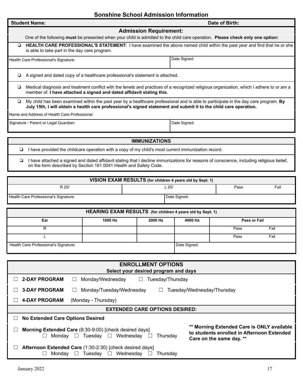## **Sonshine School Admission Information**

|   | <b>Student Name:</b><br>Date of Birth:                                                                                                                                                                                                                   |  |  |  |
|---|----------------------------------------------------------------------------------------------------------------------------------------------------------------------------------------------------------------------------------------------------------|--|--|--|
|   | <b>Admission Requirement:</b>                                                                                                                                                                                                                            |  |  |  |
|   | One of the following must be presented when your child is admitted to the child care operation. Please check only one option:                                                                                                                            |  |  |  |
| ▫ | <b>HEALTH CARE PROFESSIONAL'S STATEMENT:</b> I have examined the above named child within the past year and find that he or she<br>is able to take part in the day care program.                                                                         |  |  |  |
|   | Date Signed:<br>Health Care Professional's Signature:                                                                                                                                                                                                    |  |  |  |
|   | A signed and dated copy of a healthcare professional's statement is attached.                                                                                                                                                                            |  |  |  |
| ▫ | Medical diagnosis and treatment conflict with the tenets and practices of a recognized religious organization, which I adhere to or am a<br>member of. I have attached a signed and dated affidavit stating this.                                        |  |  |  |
|   | My child has been examined within the past year by a healthcare professional and is able to participate in the day care program. By<br>July 15th, I will obtain a health care professional's signed statement and submit it to the child care operation. |  |  |  |
|   | Name and Address of Health Care Professional:                                                                                                                                                                                                            |  |  |  |
|   | Signature - Parent or Legal Guardian:<br>Date Signed:                                                                                                                                                                                                    |  |  |  |
|   |                                                                                                                                                                                                                                                          |  |  |  |
|   | <b>IMMUNIZATIONS</b>                                                                                                                                                                                                                                     |  |  |  |
| ⊔ | I have provided the childcare operation with a copy of my child's most current immunization record.                                                                                                                                                      |  |  |  |

❏ I have attached a signed and dated affidavit stating that I decline immunizations for reasons of conscience, including religious belief, on the form described by Section 161.0041 Health and Safety Code.

| VISION EXAM RESULTS (for children 4 years old by Sept. 1)  |         |         |              |              |      |
|------------------------------------------------------------|---------|---------|--------------|--------------|------|
| R 20/                                                      |         | L 20/   |              | Pass         | Fail |
| Health Care Professional's Signature:                      |         |         | Date Signed: |              |      |
| HEARING EXAM RESULTS (for children 4 years old by Sept. 1) |         |         |              |              |      |
| Ear                                                        | 1000 Hz | 2000 Hz | 4000 Hz      | Pass or Fail |      |

R Pass Fail L Pass Fail

| Health Care Professional's Signature: |  | Date Signed: |
|---------------------------------------|--|--------------|

| <b>ENROLLMENT OPTIONS</b>                                                                                                                                                                                                                               |                            |  |  |
|---------------------------------------------------------------------------------------------------------------------------------------------------------------------------------------------------------------------------------------------------------|----------------------------|--|--|
| Select your desired program and days                                                                                                                                                                                                                    |                            |  |  |
| <b>2-DAY PROGRAM</b><br>Monday/Wednesday<br>Tuesday/Thursday<br>$\Box$<br>$\Box$                                                                                                                                                                        |                            |  |  |
| <b>3-DAY PROGRAM</b><br>Monday/Tuesday/Wednesday<br>$\Box$                                                                                                                                                                                              | Tuesday/Wednesday/Thursday |  |  |
| <b>4-DAY PROGRAM</b><br>(Monday - Thursday)                                                                                                                                                                                                             |                            |  |  |
| <b>EXTENDED CARE OPTIONS DESIRED:</b>                                                                                                                                                                                                                   |                            |  |  |
| <b>No Extended Care Options Desired</b><br>$\Box$                                                                                                                                                                                                       |                            |  |  |
| ** Morning Extended Care is ONLY available<br>Morning Extended Care (8:30-9:00) [check desired days]<br>$\Box$<br>to students enrolled in Afternoon Extended<br>Tuesday $\Box$<br>Wednesday<br>Thursday<br>$\Box$<br>Mondav<br>Care on the same day. ** |                            |  |  |
| Afternoon Extended Care (1:30-2:30) [check desired days]<br>Wednesday<br>Tuesday $\Box$<br>Mondav<br>$\Box$<br>Thursday                                                                                                                                 |                            |  |  |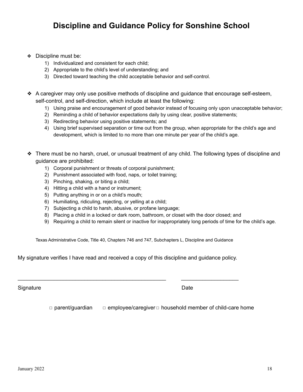# **Discipline and Guidance Policy for Sonshine School**

- ❖ Discipline must be:
	- 1) Individualized and consistent for each child;
	- 2) Appropriate to the child's level of understanding; and
	- 3) Directed toward teaching the child acceptable behavior and self-control.
- ❖ A caregiver may only use positive methods of discipline and guidance that encourage self-esteem, self-control, and self-direction, which include at least the following:
	- 1) Using praise and encouragement of good behavior instead of focusing only upon unacceptable behavior;
	- 2) Reminding a child of behavior expectations daily by using clear, positive statements;
	- 3) Redirecting behavior using positive statements; and
	- 4) Using brief supervised separation or time out from the group, when appropriate for the child's age and development, which is limited to no more than one minute per year of the child's age.
- ❖ There must be no harsh, cruel, or unusual treatment of any child. The following types of discipline and guidance are prohibited:
	- 1) Corporal punishment or threats of corporal punishment;
	- 2) Punishment associated with food, naps, or toilet training;
	- 3) Pinching, shaking, or biting a child;
	- 4) Hitting a child with a hand or instrument;
	- 5) Putting anything in or on a child's mouth;
	- 6) Humiliating, ridiculing, rejecting, or yelling at a child;
	- 7) Subjecting a child to harsh, abusive, or profane language;
	- 8) Placing a child in a locked or dark room, bathroom, or closet with the door closed; and
	- 9) Requiring a child to remain silent or inactive for inappropriately long periods of time for the child's age.

Texas Administrative Code, Title 40, Chapters 746 and 747, Subchapters L, Discipline and Guidance

My signature verifies I have read and received a copy of this discipline and guidance policy.

\_\_\_\_\_\_\_\_\_\_\_\_\_\_\_\_\_\_\_\_\_\_\_\_\_\_\_\_\_\_\_\_\_\_\_\_\_\_\_\_\_\_\_\_\_\_\_\_\_ \_\_\_\_\_\_\_\_\_\_\_\_\_\_\_\_\_\_\_

Signature Date Date Communications and the Date Date Date Date

**□ parent/guardian** □ employee/caregiver□ household member of child-care home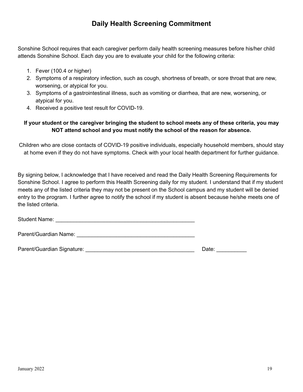# **Daily Health Screening Commitment**

Sonshine School requires that each caregiver perform daily health screening measures before his/her child attends Sonshine School. Each day you are to evaluate your child for the following criteria:

- 1. Fever (100.4 or higher)
- 2. Symptoms of a respiratory infection, such as cough, shortness of breath, or sore throat that are new, worsening, or atypical for you.
- 3. Symptoms of a gastrointestinal illness, such as vomiting or diarrhea, that are new, worsening, or atypical for you.
- 4. Received a positive test result for COVID-19.

## If your student or the caregiver bringing the student to school meets any of these criteria, you may **NOT attend school and you must notify the school of the reason for absence.**

Children who are close contacts of COVID-19 positive individuals, especially household members, should stay at home even if they do not have symptoms. Check with your local health department for further guidance.

By signing below, I acknowledge that I have received and read the Daily Health Screening Requirements for Sonshine School. I agree to perform this Health Screening daily for my student. I understand that if my student meets any of the listed criteria they may not be present on the School campus and my student will be denied entry to the program. I further agree to notify the school if my student is absent because he/she meets one of the listed criteria.

Student Name: \_\_\_\_\_\_\_\_\_\_\_\_\_\_\_\_\_\_\_\_\_\_\_\_\_\_\_\_\_\_\_\_\_\_\_\_\_\_\_\_\_\_\_\_\_\_

Parent/Guardian Name: \_\_\_\_\_\_\_\_\_\_\_\_\_\_\_\_\_\_\_\_\_\_\_\_\_\_\_\_\_\_\_\_\_\_\_\_\_\_\_

Parent/Guardian Signature: \_\_\_\_\_\_\_\_\_\_\_\_\_\_\_\_\_\_\_\_\_\_\_\_\_\_\_\_\_\_\_\_\_\_\_\_ Date: \_\_\_\_\_\_\_\_\_\_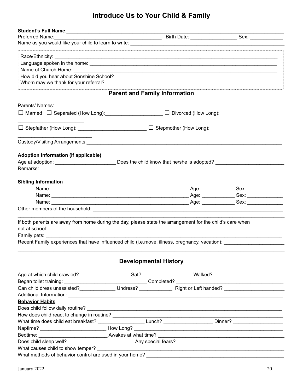# **Introduce Us to Your Child & Family**

| Preferred Name: Same Communication Communication Communication Communication Communication Communication Communication Communication Communication Communication Communication Communication Communication Communication Commu |                                      |  |  |
|--------------------------------------------------------------------------------------------------------------------------------------------------------------------------------------------------------------------------------|--------------------------------------|--|--|
|                                                                                                                                                                                                                                |                                      |  |  |
|                                                                                                                                                                                                                                |                                      |  |  |
|                                                                                                                                                                                                                                |                                      |  |  |
|                                                                                                                                                                                                                                |                                      |  |  |
|                                                                                                                                                                                                                                |                                      |  |  |
|                                                                                                                                                                                                                                | <b>Parent and Family Information</b> |  |  |
|                                                                                                                                                                                                                                |                                      |  |  |
| $\Box$ Married $\Box$ Separated (How Long): _______________________ $\Box$ Divorced (How Long):                                                                                                                                |                                      |  |  |
| $\Box$ Stepfather (How Long): ___________________________________ $\Box$ Stepmother (How Long):                                                                                                                                |                                      |  |  |
| Custody/Visiting Arrangements: New York Custom Custom Custom Custom Custom Custom Custom Custom Custom Custom Custom Custom Custom Custom Custom Custom Custom Custom Custom Custom Custom Custom Custom Custom Custom Custom  |                                      |  |  |
| <b>Adoption Information (if applicable)</b>                                                                                                                                                                                    |                                      |  |  |
| Age at adoption: __________________________ Does the child know that he/she is adopted? ______________________                                                                                                                 |                                      |  |  |
|                                                                                                                                                                                                                                |                                      |  |  |
|                                                                                                                                                                                                                                |                                      |  |  |
| <b>Sibling Information</b>                                                                                                                                                                                                     |                                      |  |  |
|                                                                                                                                                                                                                                |                                      |  |  |
|                                                                                                                                                                                                                                |                                      |  |  |
|                                                                                                                                                                                                                                |                                      |  |  |
|                                                                                                                                                                                                                                |                                      |  |  |
| If both parents are away from home during the day, please state the arrangement for the child's care when                                                                                                                      |                                      |  |  |
|                                                                                                                                                                                                                                |                                      |  |  |
| Family pets:<br>Recent Family experiences that have influenced child (i.e.move, illness, pregnancy, vacation): _______________                                                                                                 |                                      |  |  |
|                                                                                                                                                                                                                                |                                      |  |  |
|                                                                                                                                                                                                                                | <b>Developmental History</b>         |  |  |
| Age at which child crawled? ______________________Sat? ________________________Walked? _____________________________                                                                                                           |                                      |  |  |
|                                                                                                                                                                                                                                |                                      |  |  |
|                                                                                                                                                                                                                                |                                      |  |  |
|                                                                                                                                                                                                                                |                                      |  |  |
| <b>Behavior Habits</b>                                                                                                                                                                                                         |                                      |  |  |
|                                                                                                                                                                                                                                |                                      |  |  |
|                                                                                                                                                                                                                                |                                      |  |  |
|                                                                                                                                                                                                                                |                                      |  |  |
|                                                                                                                                                                                                                                |                                      |  |  |
|                                                                                                                                                                                                                                |                                      |  |  |
| Does child sleep well? <b>Example 20 Area Control</b> Any special fears?                                                                                                                                                       |                                      |  |  |

What causes child to show temper?  $\overline{\phantom{a}}$ 

What methods of behavior control are used in your home? \_\_\_\_\_\_\_\_\_\_\_\_\_\_\_\_\_\_\_\_\_\_\_\_\_\_\_\_\_\_\_\_\_\_\_\_\_\_\_\_\_\_\_\_\_\_\_\_\_\_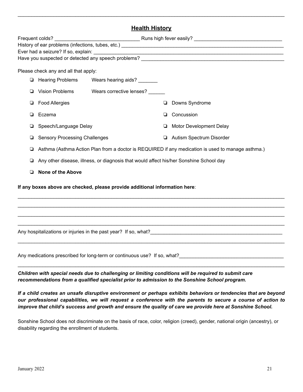## **Health History**

 $\_$  ,  $\_$  ,  $\_$  ,  $\_$  ,  $\_$  ,  $\_$  ,  $\_$  ,  $\_$  ,  $\_$  ,  $\_$  ,  $\_$  ,  $\_$  ,  $\_$  ,  $\_$  ,  $\_$  ,  $\_$  ,  $\_$  ,  $\_$  ,  $\_$  ,  $\_$  ,  $\_$  ,  $\_$  ,  $\_$  ,  $\_$  ,  $\_$  ,  $\_$  ,  $\_$  ,  $\_$  ,  $\_$  ,  $\_$  ,  $\_$  ,  $\_$  ,  $\_$  ,  $\_$  ,  $\_$  ,  $\_$  ,  $\_$  ,

| Ever had a seizure? If so, explain:<br>Have you suspected or detected any speech problems?<br>The manufactured and the manufactured and the manufactured and the manufactured and the manufactured and the<br>Please check any and all that apply:<br>Wears hearing aids? _______<br><b>Hearing Problems</b><br>▫ |                                                                                                                                                                                                                                  |                                                                                        |   |                                |
|-------------------------------------------------------------------------------------------------------------------------------------------------------------------------------------------------------------------------------------------------------------------------------------------------------------------|----------------------------------------------------------------------------------------------------------------------------------------------------------------------------------------------------------------------------------|----------------------------------------------------------------------------------------|---|--------------------------------|
| ▫                                                                                                                                                                                                                                                                                                                 | <b>Vision Problems</b>                                                                                                                                                                                                           | Wears corrective lenses?                                                               |   |                                |
| ❏                                                                                                                                                                                                                                                                                                                 | <b>Food Allergies</b>                                                                                                                                                                                                            |                                                                                        | ❏ | Downs Syndrome                 |
| ❏                                                                                                                                                                                                                                                                                                                 | Eczema                                                                                                                                                                                                                           |                                                                                        | □ | Concussion                     |
| ❏                                                                                                                                                                                                                                                                                                                 | Speech/Language Delay                                                                                                                                                                                                            |                                                                                        | ❏ | <b>Motor Development Delay</b> |
| ❏                                                                                                                                                                                                                                                                                                                 | <b>Sensory Processing Challenges</b>                                                                                                                                                                                             |                                                                                        | ❏ | Autism Spectrum Disorder       |
| ❏                                                                                                                                                                                                                                                                                                                 | Asthma (Asthma Action Plan from a doctor is REQUIRED if any medication is used to manage asthma.)                                                                                                                                |                                                                                        |   |                                |
| ❏                                                                                                                                                                                                                                                                                                                 |                                                                                                                                                                                                                                  | Any other disease, illness, or diagnosis that would affect his/her Sonshine School day |   |                                |
| ❏                                                                                                                                                                                                                                                                                                                 | <b>None of the Above</b>                                                                                                                                                                                                         |                                                                                        |   |                                |
| If any boxes above are checked, please provide additional information here:                                                                                                                                                                                                                                       |                                                                                                                                                                                                                                  |                                                                                        |   |                                |
| Any hospitalizations or injuries in the past year? If so, what?<br>The same contract of the contract of the contract of the past year? If so, what?<br>The same contract of the contract of the contract of the contract of the co                                                                                |                                                                                                                                                                                                                                  |                                                                                        |   |                                |
|                                                                                                                                                                                                                                                                                                                   | Any medications prescribed for long-term or continuous use? If so, what?<br>The solution of the second term of the solution of the second term of the second term of the second term of the second term of the second term of th |                                                                                        |   |                                |

*Children with special needs due to challenging or limiting conditions will be required to submit care recommendations from a qualified specialist prior to admission to the Sonshine School program.*

If a child creates an unsafe disruptive environment or perhaps exhibits behaviors or tendencies that are beyond our professional capabilities, we will request a conference with the parents to secure a course of action to improve that child's success and growth and ensure the quality of care we provide here at Sonshine School.

Sonshine School does not discriminate on the basis of race, color, religion (creed), gender, national origin (ancestry), or disability regarding the enrollment of students.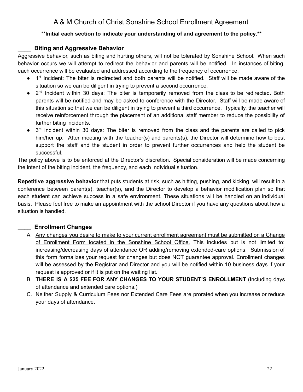# A & M Church of Christ Sonshine School Enrollment Agreement

## \*\***Initial each section to indicate your understanding of and agreement to the policy***.***\*\***

## **\_\_\_\_ Biting and Aggressive Behavior**

Aggressive behavior, such as biting and hurting others, will not be tolerated by Sonshine School. When such behavior occurs we will attempt to redirect the behavior and parents will be notified. In instances of biting, each occurrence will be evaluated and addressed according to the frequency of occurrence.

- 1<sup>st</sup> Incident: The biter is redirected and both parents will be notified. Staff will be made aware of the situation so we can be diligent in trying to prevent a second occurrence.
- 2<sup>nd</sup> Incident within 30 days: The biter is temporarily removed from the class to be redirected. Both parents will be notified and may be asked to conference with the Director. Staff will be made aware of this situation so that we can be diligent in trying to prevent a third occurrence. Typically, the teacher will receive reinforcement through the placement of an additional staff member to reduce the possibility of further biting incidents.
- 3<sup>rd</sup> Incident within 30 days: The biter is removed from the class and the parents are called to pick him/her up. After meeting with the teacher(s) and parents(s), the Director will determine how to best support the staff and the student in order to prevent further occurrences and help the student be successful.

The policy above is to be enforced at the Director's discretion. Special consideration will be made concerning the intent of the biting incident, the frequency, and each individual situation.

**Repetitive aggressive behavior** that puts students at risk, such as hitting, pushing, and kicking, will result in a conference between parent(s), teacher(s), and the Director to develop a behavior modification plan so that each student can achieve success in a safe environment. These situations will be handled on an individual basis. Please feel free to make an appointment with the school Director if you have any questions about how a situation is handled.

## **\_\_\_\_ Enrollment Changes**

- A. Any changes you desire to make to your current enrollment agreement must be submitted on a Change of Enrollment Form located in the Sonshine School Office. This includes but is not limited to: increasing/decreasing days of attendance OR adding/removing extended-care options. Submission of this form formalizes your request for changes but does NOT guarantee approval. Enrollment changes will be assessed by the Registrar and Director and you will be notified within 10 business days if your request is approved or if it is put on the waiting list.
- B. **THERE IS A \$25 FEE FOR ANY CHANGES TO YOUR STUDENT'S ENROLLMENT** (Including days of attendance and extended care options.)
- C. Neither Supply & Curriculum Fees nor Extended Care Fees are prorated when you increase or reduce your days of attendance.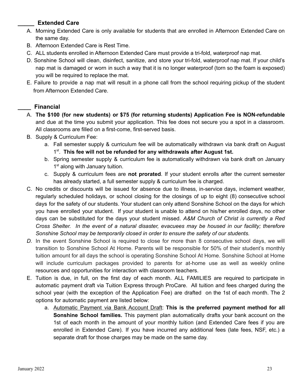## **\_\_\_\_\_ Extended Care**

- A. Morning Extended Care is only available for students that are enrolled in Afternoon Extended Care on the same day.
- B. Afternoon Extended Care is Rest Time.
- C. ALL students enrolled in Afternoon Extended Care must provide a tri-fold, waterproof nap mat.
- D. Sonshine School will clean, disinfect, sanitize, and store your tri-fold, waterproof nap mat. If your child's nap mat is damaged or worn in such a way that it is no longer waterproof (torn so the foam is exposed) you will be required to replace the mat.
- E. Failure to provide a nap mat will result in a phone call from the school requiring pickup of the student from Afternoon Extended Care.

## **\_\_\_\_ Financial**

- A. **The \$100 (for new students) or \$75 (for returning students) Application Fee is NON-refundable** and due at the time you submit your application. This fee does not secure you a spot in a classroom. All classrooms are filled on a first-come, first-served basis.
- B. Supply & Curriculum Fee:
	- a. Fall semester supply & curriculum fee will be automatically withdrawn via bank draft on August 1 st . **This fee will not be refunded for any withdrawals after August 1st.**
	- b. Spring semester supply & curriculum fee is automatically withdrawn via bank draft on January 1<sup>st</sup> along with January tuition.
	- c. Supply & curriculum fees are **not prorated**. If your student enrolls after the current semester has already started, a full semester supply & curriculum fee is charged.
- C. No credits or discounts will be issued for absence due to illness, in-service days, inclement weather, regularly scheduled holidays, or school closing for the closings of up to eight (8) consecutive school days for the safety of our students. Your student can only attend Sonshine School on the days for which you have enrolled your student. If your student is unable to attend on his/her enrolled days, no other days can be substituted for the days your student missed. *A&M Church of Christ is currently a Red Cross Shelter. In the event of a natural disaster, evacuees may be housed in our facility; therefore Sonshine School may be temporarily closed in order to ensure the safety of our students.*
- *D.* In the event Sonshine School is required to close for more than 8 consecutive school days, we will transition to Sonshine School At Home. Parents will be responsible for 50% of their student's monthly tuition amount for all days the school is operating Sonshine School At Home. Sonshine School at Home will include curriculum packages provided to parents for at-home use as well as weekly online resources and opportunities for interaction with classroom teachers.
- E. Tuition is due, in full, on the first day of each month. ALL FAMILIES are required to participate in automatic payment draft via Tuition Express through ProCare. All tuition and fees charged during the school year (with the exception of the Application Fee) are drafted on the 1st of each month. The 2 options for automatic payment are listed below:
	- a. Automatic Payment via Bank Account Draft: **This is the preferred payment method for all Sonshine School families.** This payment plan automatically drafts your bank account on the 1st of each month in the amount of your monthly tuition (and Extended Care fees if you are enrolled in Extended Care). If you have incurred any additional fees (late fees, NSF, etc.) a separate draft for those charges may be made on the same day.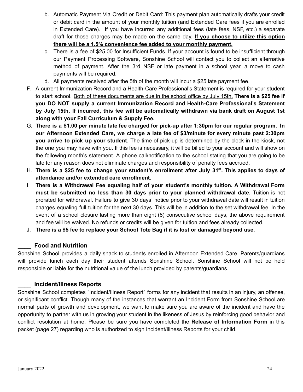- b. Automatic Payment Via Credit or Debit Card: This payment plan automatically drafts your credit or debit card in the amount of your monthly tuition (and Extended Care fees if you are enrolled in Extended Care). If you have incurred any additional fees (late fees, NSF, etc.) a separate draft for those charges may be made on the same day. **If you choose to utilize this option there will be a 1.5% convenience fee added to your monthly payment.**
- c. There is a fee of \$25.00 for Insufficient Funds. If your account is found to be insufficient through our Payment Processing Software, Sonshine School will contact you to collect an alternative method of payment. After the 3rd NSF or late payment in a school year, a move to cash payments will be required.
- d. All payments received after the 5th of the month will incur a \$25 late payment fee.
- F. A current Immunization Record and a Health-Care Professional's Statement is required for your student to start school. Both of these documents are due in the school office by July 15th. **There is a \$25 fee if you DO NOT supply a current Immunization Record and Health-Care Professional's Statement by July 15th. If incurred, this fee will be automatically withdrawn via bank draft on August 1st along with your Fall Curriculum & Supply Fee.**
- G. There is a \$1.00 per minute late fee charged for pick-up after 1:30pm for our regular program. In **our Afternoon Extended Care, we charge a late fee of \$3/minute for every minute past 2:30pm you arrive to pick up your student.** The time of pick-up is determined by the clock in the kiosk, not the one you may have with you. If this fee is necessary, it will be billed to your account and will show on the following month's statement. A phone call/notification to the school stating that you are going to be late for any reason does not eliminate charges and responsibility of penalty fees accrued.
- H. There is a \$25 fee to change your student's enrollment after July 31<sup>st</sup>. This applies to days of **attendance and/or extended care enrollment.**
- I. **There is a Withdrawal Fee equaling half of your student's monthly tuition. A Withdrawal Form must be submitted no less than 30 days prior to your planned withdrawal date.** Tuition is not prorated for withdrawal. Failure to give 30 days' notice prior to your withdrawal date will result in tuition charges equaling full tuition for the next 30 days. This will be in addition to the set withdrawal fee. In the event of a school closure lasting more than eight (8) consecutive school days, the above requirement and fee will be waived. No refunds or credits will be given for tuition and fees already collected.
- J. **There is a \$5 fee to replace your School Tote Bag if it is lost or damaged beyond use.**

## **\_\_\_\_ Food and Nutrition**

Sonshine School provides a daily snack to students enrolled in Afternoon Extended Care. Parents/guardians will provide lunch each day their student attends Sonshine School. Sonshine School will not be held responsible or liable for the nutritional value of the lunch provided by parents/guardians.

## **\_\_\_\_ Incident/Illness Reports**

Sonshine School completes "Incident/Illness Report" forms for any incident that results in an injury, an offense, or significant conflict. Though many of the instances that warrant an Incident Form from Sonshine School are normal parts of growth and development, we want to make sure you are aware of the incident and have the opportunity to partner with us in growing your student in the likeness of Jesus by reinforcing good behavior and conflict resolution at home. Please be sure you have completed the **Release of Information Form** in this packet (page 27) regarding who is authorized to sign Incident/Illness Reports for your child.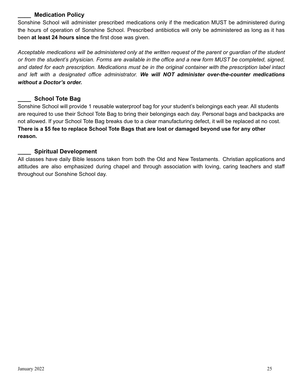## **\_\_\_\_ Medication Policy**

Sonshine School will administer prescribed medications only if the medication MUST be administered during the hours of operation of Sonshine School. Prescribed antibiotics will only be administered as long as it has been **at least 24 hours since** the first dose was given.

Acceptable medications will be administered only at the written request of the parent or quardian of the student or from the student's physician. Forms are available in the office and a new form MUST be completed, signed, and dated for each prescription. Medications must be in the original container with the prescription label intact *and left with a designated office administrator. We will NOT administer over-the-counter medications without a Doctor's order.*

## **\_\_\_\_ School Tote Bag**

Sonshine School will provide 1 reusable waterproof bag for your student's belongings each year. All students are required to use their School Tote Bag to bring their belongings each day. Personal bags and backpacks are not allowed. If your School Tote Bag breaks due to a clear manufacturing defect, it will be replaced at no cost. There is a \$5 fee to replace School Tote Bags that are lost or damaged beyond use for any other **reason.**

## **\_\_\_\_ Spiritual Development**

All classes have daily Bible lessons taken from both the Old and New Testaments. Christian applications and attitudes are also emphasized during chapel and through association with loving, caring teachers and staff throughout our Sonshine School day.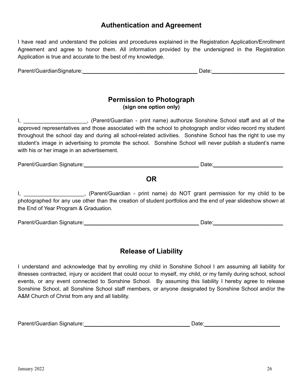# **Authentication and Agreement**

I have read and understand the policies and procedures explained in the Registration Application/Enrollment Agreement and agree to honor them. All information provided by the undersigned in the Registration Application is true and accurate to the best of my knowledge.

| Parent/GuardianSignature: | Date: |
|---------------------------|-------|
|                           |       |

## **Permission to Photograph (sign one option only)**

I, **Example 20** I, (Parent/Guardian - print name) authorize Sonshine School staff and all of the approved representatives and those associated with the school to photograph and/or video record my student throughout the school day and during all school-related activities. Sonshine School has the right to use my student's image in advertising to promote the school. Sonshine School will never publish a student's name with his or her image in an advertisement.

Parent/Guardian Signature: etc. and the contract of the Date:

**OR**

I, **Example 20**, (Parent/Guardian - print name) do NOT grant permission for my child to be photographed for any use other than the creation of student portfolios and the end of year slideshow shown at the End of Year Program & Graduation.

Parent/Guardian Signature: etc. and the set of the set of the set of the set of the set of the set of the set o

# **Release of Liability**

I understand and acknowledge that by enrolling my child in Sonshine School I am assuming all liability for illnesses contracted, injury or accident that could occur to myself, my child, or my family during school, school events, or any event connected to Sonshine School. By assuming this liability I hereby agree to release Sonshine School, all Sonshine School staff members, or anyone designated by Sonshine School and/or the A&M Church of Christ from any and all liability.

Parent/Guardian Signature:\_\_\_\_\_\_\_\_\_\_\_\_\_\_\_\_\_\_\_\_\_\_\_\_\_\_\_\_\_\_\_\_\_\_\_ Date:\_\_\_\_\_\_\_\_\_\_\_\_\_\_\_\_\_\_\_\_\_\_\_\_\_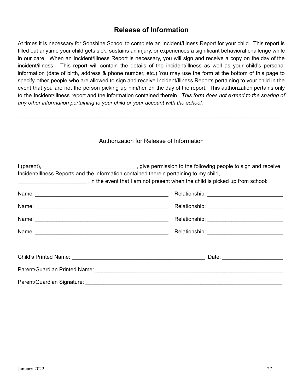## **Release of Information**

At times it is necessary for Sonshine School to complete an Incident/Illness Report for your child. This report is filled out anytime your child gets sick, sustains an injury, or experiences a significant behavioral challenge while in our care. When an Incident/Illness Report is necessary, you will sign and receive a copy on the day of the incident/illness. This report will contain the details of the incident/illness as well as your child's personal information (date of birth, address & phone number, etc.) You may use the form at the bottom of this page to specify other people who are allowed to sign and receive Incident/Illness Reports pertaining to your child in the event that you are not the person picking up him/her on the day of the report. This authorization pertains only to the Incident/Illness report and the information contained therein. *This form does not extend to the sharing of any other information pertaining to your child or your account with the school.*

## Authorization for Release of Information

\_\_\_\_\_\_\_\_\_\_\_\_\_\_\_\_\_\_\_\_\_\_\_\_\_\_\_\_\_\_\_\_\_\_\_\_\_\_\_\_\_\_\_\_\_\_\_\_\_\_\_\_\_\_\_\_\_\_\_\_\_\_\_\_\_\_\_\_\_\_\_\_\_\_\_\_\_\_\_\_\_\_\_\_\_\_\_\_

|                                        | Incident/Illness Reports and the information contained therein pertaining to my child,                         |  |  |
|----------------------------------------|----------------------------------------------------------------------------------------------------------------|--|--|
|                                        | _________________________________, in the event that I am not present when the child is picked up from school: |  |  |
|                                        |                                                                                                                |  |  |
|                                        |                                                                                                                |  |  |
|                                        |                                                                                                                |  |  |
|                                        |                                                                                                                |  |  |
|                                        |                                                                                                                |  |  |
|                                        |                                                                                                                |  |  |
|                                        |                                                                                                                |  |  |
| Parent/Guardian Signature: ___________ |                                                                                                                |  |  |